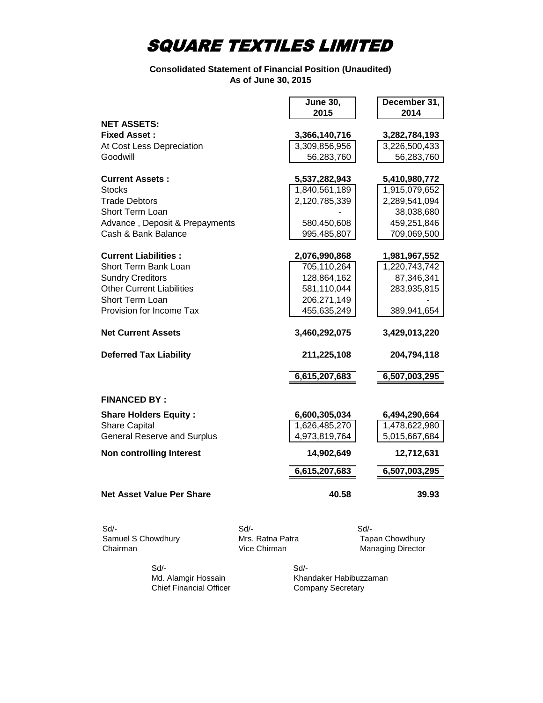#### **Consolidated Statement of Financial Position (Unaudited) As of June 30, 2015**

|                                    |      | <b>June 30,</b> | December 31,  |
|------------------------------------|------|-----------------|---------------|
|                                    |      | 2015            | 2014          |
| <b>NET ASSETS:</b>                 |      |                 |               |
| <b>Fixed Asset:</b>                |      | 3,366,140,716   | 3,282,784,193 |
| At Cost Less Depreciation          |      | 3,309,856,956   | 3,226,500,433 |
| Goodwill                           |      | 56,283,760      | 56,283,760    |
| <b>Current Assets:</b>             |      | 5,537,282,943   | 5,410,980,772 |
| <b>Stocks</b>                      |      | 1,840,561,189   | 1,915,079,652 |
| <b>Trade Debtors</b>               |      | 2,120,785,339   | 2,289,541,094 |
| Short Term Loan                    |      |                 | 38,038,680    |
| Advance, Deposit & Prepayments     |      | 580,450,608     | 459,251,846   |
| Cash & Bank Balance                |      | 995,485,807     | 709,069,500   |
| <b>Current Liabilities:</b>        |      | 2,076,990,868   | 1,981,967,552 |
| Short Term Bank Loan               |      | 705,110,264     | 1,220,743,742 |
| <b>Sundry Creditors</b>            |      | 128,864,162     | 87,346,341    |
| <b>Other Current Liabilities</b>   |      | 581,110,044     | 283,935,815   |
| <b>Short Term Loan</b>             |      | 206,271,149     |               |
| Provision for Income Tax           |      | 455,635,249     | 389,941,654   |
| <b>Net Current Assets</b>          |      | 3,460,292,075   | 3,429,013,220 |
|                                    |      |                 |               |
| <b>Deferred Tax Liability</b>      |      | 211,225,108     | 204,794,118   |
|                                    |      | 6,615,207,683   | 6,507,003,295 |
| <b>FINANCED BY:</b>                |      |                 |               |
| <b>Share Holders Equity:</b>       |      | 6,600,305,034   | 6,494,290,664 |
| <b>Share Capital</b>               |      | 1,626,485,270   | 1,478,622,980 |
| <b>General Reserve and Surplus</b> |      | 4,973,819,764   | 5,015,667,684 |
| <b>Non controlling Interest</b>    |      | 14,902,649      | 12,712,631    |
|                                    |      | 6,615,207,683   | 6,507,003,295 |
| <b>Net Asset Value Per Share</b>   |      | 40.58           | 39.93         |
| Sd/-                               | Sd/- |                 | Sd/-          |

Samuel S Chowdhury **Mrs. Ratna Patra** Mrs. Ratna Museum Tapan Chowdhury Chairman **Chairman** Vice Chirman Managing Director

 Sd/- Sd/- Chief Financial Officer

Md. Alamgir Hossain Khandaker Habibuzzaman<br>
Chief Financial Officer Company Secretary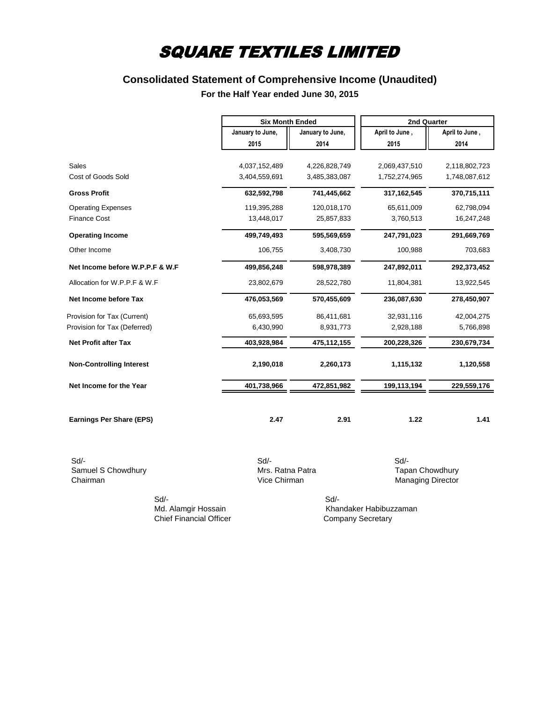### **Consolidated Statement of Comprehensive Income (Unaudited)**

#### **For the Half Year ended June 30, 2015**

|                                 | <b>Six Month Ended</b> |                  | 2nd Quarter    |                |
|---------------------------------|------------------------|------------------|----------------|----------------|
|                                 | January to June,       | January to June, | April to June, | April to June, |
|                                 | 2015                   | 2014             | 2015           | 2014           |
|                                 |                        |                  |                |                |
| <b>Sales</b>                    | 4,037,152,489          | 4,226,828,749    | 2,069,437,510  | 2,118,802,723  |
| Cost of Goods Sold              | 3,404,559,691          | 3,485,383,087    | 1,752,274,965  | 1,748,087,612  |
| <b>Gross Profit</b>             | 632,592,798            | 741,445,662      | 317,162,545    | 370,715,111    |
| <b>Operating Expenses</b>       | 119,395,288            | 120,018,170      | 65,611,009     | 62,798,094     |
| <b>Finance Cost</b>             | 13,448,017             | 25,857,833       | 3,760,513      | 16,247,248     |
| <b>Operating Income</b>         | 499,749,493            | 595,569,659      | 247,791,023    | 291,669,769    |
| Other Income                    | 106,755                | 3,408,730        | 100,988        | 703,683        |
| Net Income before W.P.P.F & W.F | 499,856,248            | 598,978,389      | 247,892,011    | 292,373,452    |
| Allocation for W.P.P.F & W.F    | 23,802,679             | 28,522,780       | 11,804,381     | 13,922,545     |
| Net Income before Tax           | 476,053,569            | 570,455,609      | 236,087,630    | 278,450,907    |
| Provision for Tax (Current)     | 65,693,595             | 86,411,681       | 32,931,116     | 42,004,275     |
| Provision for Tax (Deferred)    | 6,430,990              | 8,931,773        | 2,928,188      | 5,766,898      |
| <b>Net Profit after Tax</b>     | 403,928,984            | 475,112,155      | 200,228,326    | 230,679,734    |
| <b>Non-Controlling Interest</b> | 2,190,018              | 2,260,173        | 1,115,132      | 1,120,558      |
| Net Income for the Year         | 401,738,966            | 472,851,982      | 199,113,194    | 229,559,176    |
| Earnings Per Share (EPS)        | 2.47                   | 2.91             | 1.22           | 1.41           |

 Sd/- Sd/- Sd/- Samuel S Chowdhury **Samuel S Chowdhury** Mrs. Ratna Patra **Tapan Chowdhury Chairman**<br>Vice Chirman Managing Director

Managing Director

 Sd/- Sd/- Chief Financial Officer Company Secretary

Md. Alamgir Hossain Khandaker Habibuzzaman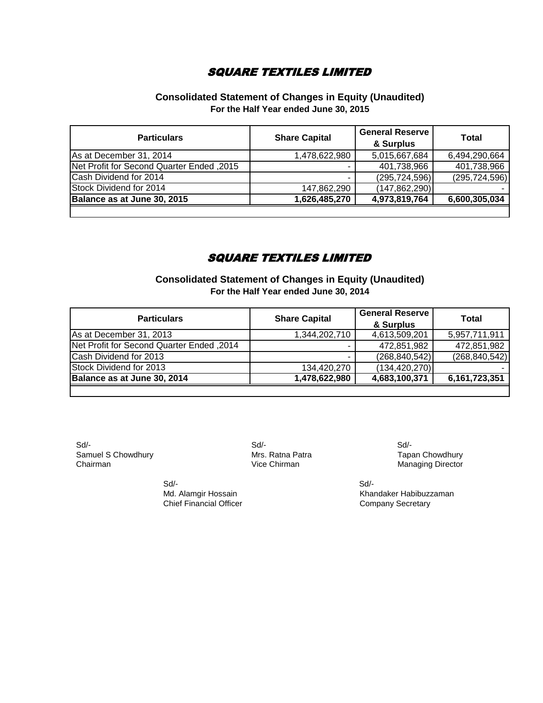#### **Consolidated Statement of Changes in Equity (Unaudited) For the Half Year ended June 30, 2015**

| <b>Particulars</b>                        | <b>Share Capital</b> | <b>General Reserve</b><br>& Surplus | Total           |
|-------------------------------------------|----------------------|-------------------------------------|-----------------|
| As at December 31, 2014                   | 1,478,622,980        | 5,015,667,684                       | 6,494,290,664   |
| Net Profit for Second Quarter Ended, 2015 |                      | 401,738,966                         | 401,738,966     |
| Cash Dividend for 2014                    |                      | (295, 724, 596)                     | (295, 724, 596) |
| Stock Dividend for 2014                   | 147,862,290          | (147,862,290)                       |                 |
| Balance as at June 30, 2015               | 1,626,485,270        | 4,973,819,764                       | 6,600,305,034   |
|                                           |                      |                                     |                 |

#### SQUARE TEXTILES LIMITED

**Consolidated Statement of Changes in Equity (Unaudited) For the Half Year ended June 30, 2014**

| <b>Particulars</b>                        | <b>Share Capital</b> | <b>General Reserve</b><br>& Surplus | <b>Total</b>    |
|-------------------------------------------|----------------------|-------------------------------------|-----------------|
| As at December 31, 2013                   | 1,344,202,710        | 4,613,509,201                       | 5,957,711,911   |
| Net Profit for Second Quarter Ended, 2014 |                      | 472,851,982                         | 472,851,982     |
| Cash Dividend for 2013                    |                      | (268, 840, 542)                     | (268, 840, 542) |
| Stock Dividend for 2013                   | 134,420,270          | (134, 420, 270)                     |                 |
| Balance as at June 30, 2014               | 1,478,622,980        | 4,683,100,371                       | 6,161,723,351   |
|                                           |                      |                                     |                 |

 Sd/- Sd/- Sd/- Samuel S Chowdhury **Samuel S Chowdhury** Mrs. Ratna Patra **No. 1988** Tapan Chowdhury<br>Chairman Manaqing Director

Vice Chirman Managing Director

Md. Alamgir Hossain Khandaker Habibuzzaman Chief Financial Officer Chief Financial Officer

Sd/- Sd/-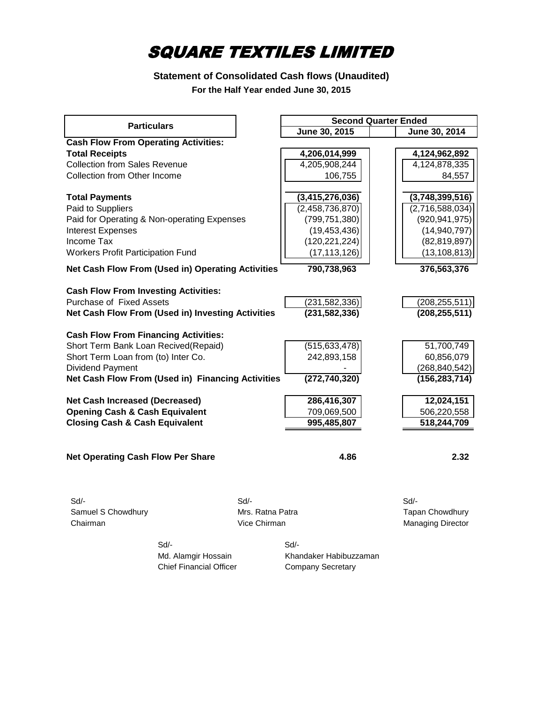### **Statement of Consolidated Cash flows (Unaudited) For the Half Year ended June 30, 2015**

|                                             |                                                          |                    | <b>Second Quarter Ended</b> |
|---------------------------------------------|----------------------------------------------------------|--------------------|-----------------------------|
| <b>Particulars</b>                          |                                                          | June 30, 2015      | June 30, 2014               |
| <b>Cash Flow From Operating Activities:</b> |                                                          |                    |                             |
| <b>Total Receipts</b>                       |                                                          | 4,206,014,999      | 4,124,962,892               |
| <b>Collection from Sales Revenue</b>        |                                                          | 4,205,908,244      | 4,124,878,335               |
| Collection from Other Income                |                                                          | 106,755            | 84,557                      |
|                                             |                                                          |                    |                             |
| <b>Total Payments</b>                       |                                                          | (3, 415, 276, 036) | (3,748,399,516)             |
| Paid to Suppliers                           |                                                          | (2,458,736,870)    | (2,716,588,034)             |
| Paid for Operating & Non-operating Expenses |                                                          | (799, 751, 380)    | (920, 941, 975)             |
| <b>Interest Expenses</b>                    |                                                          | (19, 453, 436)     | (14, 940, 797)              |
| Income Tax                                  |                                                          | (120, 221, 224)    | (82, 819, 897)              |
| <b>Workers Profit Participation Fund</b>    |                                                          | (17, 113, 126)     | (13, 108, 813)              |
|                                             | <b>Net Cash Flow From (Used in) Operating Activities</b> | 790,738,963        | 376,563,376                 |
| <b>Cash Flow From Investing Activities:</b> |                                                          |                    |                             |
| Purchase of Fixed Assets                    |                                                          | (231, 582, 336)    | (208, 255, 511)             |
|                                             | Net Cash Flow From (Used in) Investing Activities        | (231, 582, 336)    | (208, 255, 511)             |
|                                             |                                                          |                    |                             |
| <b>Cash Flow From Financing Activities:</b> |                                                          |                    |                             |
| Short Term Bank Loan Recived(Repaid)        |                                                          | (515, 633, 478)    | 51,700,749                  |
| Short Term Loan from (to) Inter Co.         |                                                          | 242,893,158        | 60,856,079                  |
| Dividend Payment                            |                                                          |                    | (268, 840, 542)             |
|                                             | Net Cash Flow From (Used in) Financing Activities        | (272, 740, 320)    | (156, 283, 714)             |
|                                             |                                                          |                    |                             |
| <b>Net Cash Increased (Decreased)</b>       |                                                          | 286,416,307        | 12,024,151                  |
| <b>Opening Cash &amp; Cash Equivalent</b>   |                                                          | 709,069,500        | 506,220,558                 |
| <b>Closing Cash &amp; Cash Equivalent</b>   |                                                          | 995,485,807        | 518,244,709                 |
|                                             |                                                          |                    |                             |
| <b>Net Operating Cash Flow Per Share</b>    |                                                          | 4.86               | 2.32                        |
|                                             |                                                          |                    |                             |
| Sd                                          | $Sd$ -                                                   |                    | $Sd$ -                      |
|                                             | Mrs. Ratna Patra                                         |                    |                             |
| Samuel S Chowdhury                          |                                                          |                    | Tapan Chowdhury             |
| Chairman                                    | Vice Chirman                                             |                    | <b>Managing Director</b>    |
|                                             | Sd/-                                                     | Sd/-               |                             |
|                                             |                                                          |                    |                             |

Chief Financial Officer Company Secretary

Md. Alamgir Hossain Khandaker Habibuzzaman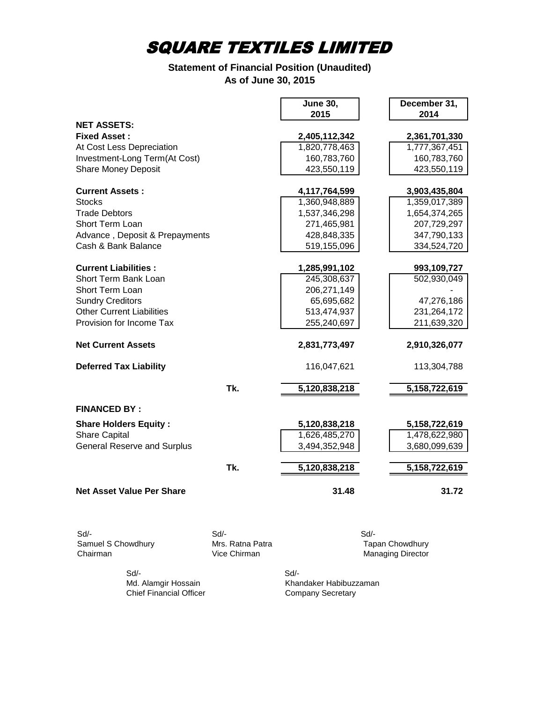### **Statement of Financial Position (Unaudited) As of June 30, 2015**

|                                    |                                  | <b>June 30,</b><br>2015 | December 31,<br>2014                               |
|------------------------------------|----------------------------------|-------------------------|----------------------------------------------------|
| <b>NET ASSETS:</b>                 |                                  |                         |                                                    |
| <b>Fixed Asset:</b>                |                                  | 2,405,112,342           | 2,361,701,330                                      |
| At Cost Less Depreciation          |                                  | 1,820,778,463           | 1,777,367,451                                      |
| Investment-Long Term(At Cost)      |                                  | 160,783,760             | 160,783,760                                        |
| <b>Share Money Deposit</b>         |                                  | 423,550,119             | 423,550,119                                        |
| <b>Current Assets:</b>             |                                  | 4,117,764,599           | 3,903,435,804                                      |
| <b>Stocks</b>                      |                                  | 1,360,948,889           | 1,359,017,389                                      |
| <b>Trade Debtors</b>               |                                  | 1,537,346,298           | 1,654,374,265                                      |
| Short Term Loan                    |                                  | 271,465,981             | 207,729,297                                        |
| Advance, Deposit & Prepayments     |                                  | 428,848,335             | 347,790,133                                        |
| Cash & Bank Balance                |                                  | 519,155,096             | 334,524,720                                        |
| <b>Current Liabilities:</b>        |                                  | 1,285,991,102           | 993,109,727                                        |
| Short Term Bank Loan               |                                  | 245,308,637             | 502,930,049                                        |
| Short Term Loan                    |                                  | 206,271,149             |                                                    |
| <b>Sundry Creditors</b>            |                                  | 65,695,682              | 47,276,186                                         |
| <b>Other Current Liabilities</b>   |                                  | 513,474,937             | 231,264,172                                        |
| Provision for Income Tax           |                                  | 255,240,697             | 211,639,320                                        |
|                                    |                                  |                         |                                                    |
| <b>Net Current Assets</b>          |                                  | 2,831,773,497           | 2,910,326,077                                      |
| <b>Deferred Tax Liability</b>      |                                  | 116,047,621             | 113,304,788                                        |
|                                    | Tk.                              | 5,120,838,218           | 5,158,722,619                                      |
| <b>FINANCED BY:</b>                |                                  |                         |                                                    |
| <b>Share Holders Equity:</b>       |                                  | 5,120,838,218           | 5,158,722,619                                      |
| <b>Share Capital</b>               |                                  | 1,626,485,270           | 1,478,622,980                                      |
| <b>General Reserve and Surplus</b> |                                  | 3,494,352,948           | 3,680,099,639                                      |
|                                    | Tk.                              | 5,120,838,218           | 5,158,722,619                                      |
| <b>Net Asset Value Per Share</b>   |                                  | 31.48                   | 31.72                                              |
|                                    |                                  |                         |                                                    |
| Sd                                 | $Sd$ -                           | $Sd$ -                  |                                                    |
| Samuel S Chowdhury<br>Chairman     | Mrs. Ratna Patra<br>Vice Chirman |                         | <b>Tapan Chowdhury</b><br><b>Managing Director</b> |

Sd/- Sd/-

Md. Alamgir Hossain Khandaker Habibuzzaman Chief Financial Officer Company Secretary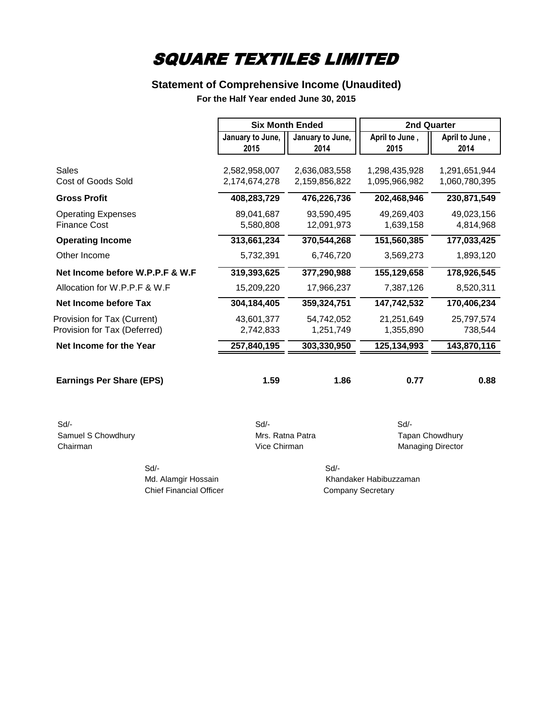### **Statement of Comprehensive Income (Unaudited)**

**For the Half Year ended June 30, 2015**

|                                                             |                                | <b>Six Month Ended</b>         |                                | 2nd Quarter                    |
|-------------------------------------------------------------|--------------------------------|--------------------------------|--------------------------------|--------------------------------|
|                                                             | January to June,<br>2015       | January to June,<br>2014       | April to June,<br>2015         | April to June,<br>2014         |
| Sales<br>Cost of Goods Sold                                 | 2,582,958,007<br>2,174,674,278 | 2,636,083,558<br>2,159,856,822 | 1,298,435,928<br>1,095,966,982 | 1,291,651,944<br>1,060,780,395 |
| <b>Gross Profit</b>                                         | 408,283,729                    | 476,226,736                    | 202,468,946                    | 230,871,549                    |
| <b>Operating Expenses</b><br><b>Finance Cost</b>            | 89,041,687<br>5,580,808        | 93,590,495<br>12,091,973       | 49,269,403<br>1,639,158        | 49,023,156<br>4,814,968        |
| <b>Operating Income</b><br>Other Income                     | 313,661,234<br>5,732,391       | 370,544,268<br>6,746,720       | 151,560,385<br>3,569,273       | 177,033,425<br>1,893,120       |
| Net Income before W.P.P.F & W.F                             | 319,393,625                    | 377,290,988                    | 155,129,658                    | 178,926,545                    |
| Allocation for W.P.P.F & W.F                                | 15,209,220                     | 17,966,237                     | 7,387,126                      | 8,520,311                      |
| Net Income before Tax                                       | 304, 184, 405                  | 359,324,751                    | 147,742,532                    | 170,406,234                    |
| Provision for Tax (Current)<br>Provision for Tax (Deferred) | 43,601,377<br>2,742,833        | 54,742,052<br>1,251,749        | 21,251,649<br>1,355,890        | 25,797,574<br>738,544          |
| Net Income for the Year                                     | 257,840,195                    | 303,330,950                    | 125, 134, 993                  | 143,870,116                    |
| <b>Earnings Per Share (EPS)</b>                             | 1.59                           | 1.86                           | 0.77                           | 0.88                           |
| Sd<br>Samuel S Chowdhury                                    | $Sd$ -<br>Mrs. Ratna Patra     |                                | Sd                             | <b>Tapan Chowdhury</b>         |

Chairman Chairman Chairman Chairman Chairman Managing Director

 Sd/- Sd/- Chief Financial Officer Chief Financial Officer

Md. Alamgir Hossain Khandaker Habibuzzaman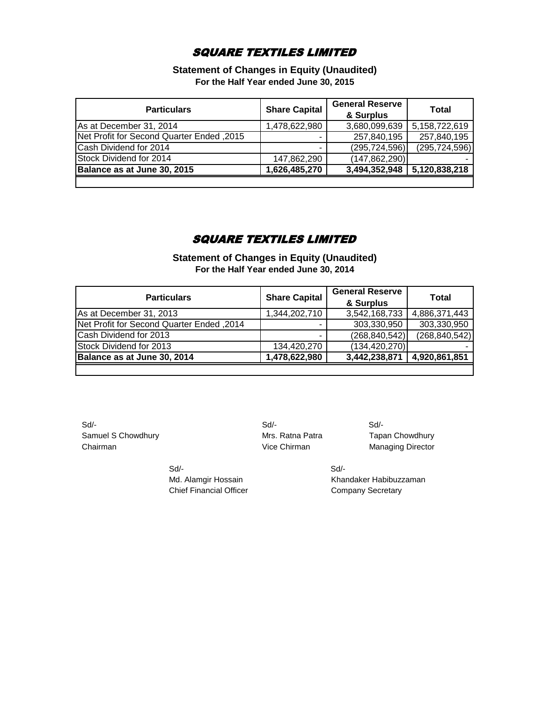**Statement of Changes in Equity (Unaudited) For the Half Year ended June 30, 2015**

| <b>Particulars</b>                        | <b>Share Capital</b> | <b>General Reserve</b><br>& Surplus | Total           |
|-------------------------------------------|----------------------|-------------------------------------|-----------------|
| As at December 31, 2014                   | 1,478,622,980        | 3,680,099,639                       | 5,158,722,619   |
| Net Profit for Second Quarter Ended, 2015 | ۰                    | 257,840,195                         | 257,840,195     |
| Cash Dividend for 2014                    | ۰                    | (295, 724, 596)                     | (295, 724, 596) |
| Stock Dividend for 2014                   | 147,862,290          | (147, 862, 290)                     |                 |
| Balance as at June 30, 2015               | 1,626,485,270        | 3,494,352,948 5,120,838,218         |                 |
|                                           |                      |                                     |                 |

### SQUARE TEXTILES LIMITED

**Statement of Changes in Equity (Unaudited) For the Half Year ended June 30, 2014**

| <b>Particulars</b>                        | <b>Share Capital</b> | <b>General Reserve</b><br>& Surplus | Total           |
|-------------------------------------------|----------------------|-------------------------------------|-----------------|
| As at December 31, 2013                   | 1,344,202,710        | 3,542,168,733                       | 4,886,371,443   |
| Net Profit for Second Quarter Ended, 2014 | -                    | 303,330,950                         | 303,330,950     |
| Cash Dividend for 2013                    | ۰.                   | (268, 840, 542)                     | (268, 840, 542) |
| Stock Dividend for 2013                   | 134,420,270          | (134, 420, 270)                     |                 |
| Balance as at June 30, 2014               | 1,478,622,980        | 3,442,238,871                       | 4,920,861,851   |
|                                           |                      |                                     |                 |

 Sd/- Sd/- Sd/- Samuel S Chowdhury **Mrs. Ratna Patra** Tapan Chowdhury **Chairman** Chairman Chairman Chairman Managing Director

Sd/- Sd/-

Md. Alamgir Hossain Khandaker Habibuzzaman Chief Financial Officer Chief Financial Officer Company Secretary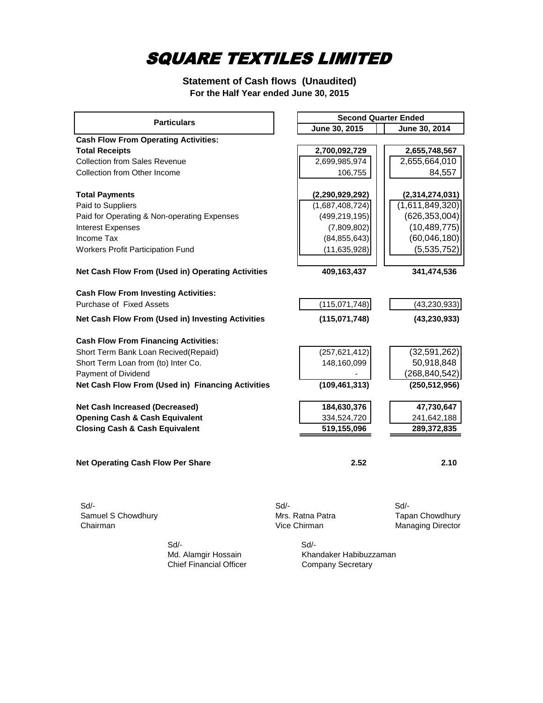**Statement of Cash flows (Unaudited) For the Half Year ended June 30, 2015**

| <b>Particulars</b>                                |        |                  |  | <b>Second Quarter Ended</b> |  |
|---------------------------------------------------|--------|------------------|--|-----------------------------|--|
|                                                   |        | June 30, 2015    |  | June 30, 2014               |  |
| <b>Cash Flow From Operating Activities:</b>       |        |                  |  |                             |  |
| <b>Total Receipts</b>                             |        | 2,700,092,729    |  | 2,655,748,567               |  |
| <b>Collection from Sales Revenue</b>              |        | 2,699,985,974    |  | 2,655,664,010               |  |
| Collection from Other Income                      |        | 106,755          |  | 84,557                      |  |
| <b>Total Payments</b>                             |        | (2,290,929,292)  |  | (2,314,274,031)             |  |
| Paid to Suppliers                                 |        | (1,687,408,724)  |  | (1,611,849,320)             |  |
| Paid for Operating & Non-operating Expenses       |        | (499, 219, 195)  |  | (626, 353, 004)             |  |
| <b>Interest Expenses</b>                          |        | (7,809,802)      |  | (10, 489, 775)              |  |
| Income Tax                                        |        | (84, 855, 643)   |  | (60,046,180)                |  |
| Workers Profit Participation Fund                 |        | (11, 635, 928)   |  | (5,535,752)                 |  |
| Net Cash Flow From (Used in) Operating Activities |        | 409,163,437      |  | 341,474,536                 |  |
| <b>Cash Flow From Investing Activities:</b>       |        |                  |  |                             |  |
| Purchase of Fixed Assets                          |        | (115,071,748)    |  | (43, 230, 933)              |  |
| Net Cash Flow From (Used in) Investing Activities |        | (115,071,748)    |  | (43, 230, 933)              |  |
| <b>Cash Flow From Financing Activities:</b>       |        |                  |  |                             |  |
| Short Term Bank Loan Recived(Repaid)              |        | (257, 621, 412)  |  | (32,591,262)                |  |
| Short Term Loan from (to) Inter Co.               |        | 148,160,099      |  | 50,918,848                  |  |
| Payment of Dividend                               |        |                  |  | (268, 840, 542)             |  |
| Net Cash Flow From (Used in) Financing Activities |        | (109, 461, 313)  |  | (250, 512, 956)             |  |
| Net Cash Increased (Decreased)                    |        | 184,630,376      |  | 47,730,647                  |  |
| <b>Opening Cash &amp; Cash Equivalent</b>         |        | 334,524,720      |  | 241,642,188                 |  |
| <b>Closing Cash &amp; Cash Equivalent</b>         |        | 519,155,096      |  | 289,372,835                 |  |
|                                                   |        |                  |  |                             |  |
| Net Operating Cash Flow Per Share                 |        | 2.52             |  | 2.10                        |  |
| $Sd$ -<br>Samuel S Chowdhury                      | $Sd$ - | Mrs. Ratna Patra |  | $Sd$ -<br>Tapan Chowdhury   |  |
| Chairman                                          |        | Vice Chirman     |  | Managing Director           |  |
| Sd/-                                              |        | Sd/-             |  |                             |  |

Md. Alamgir Hossain<br>Chief Financial Officer

Khandaker Habibuzzaman<br>Company Secretary